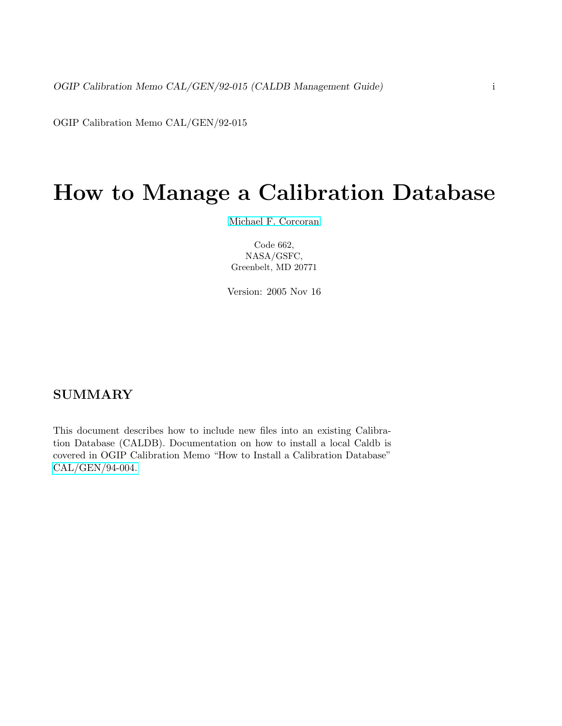OGIP Calibration Memo CAL/GEN/92-015

# How to Manage a Calibration Database

[Michael F. Corcoran](http://eud.gsfc.nasa.gov/Michael.Corcoran/)

Code 662, NASA/GSFC, Greenbelt, MD 20771

Version: 2005 Nov 16

## SUMMARY

This document describes how to include new files into an existing Calibration Database (CALDB). Documentation on how to install a local Caldb is covered in OGIP Calibration Memo "How to Install a Calibration Database" [CAL/GEN/94-004.](/docs/heasarc/caldb/docs/memos/cal_gen_94_004/cal_gen_94_004.html)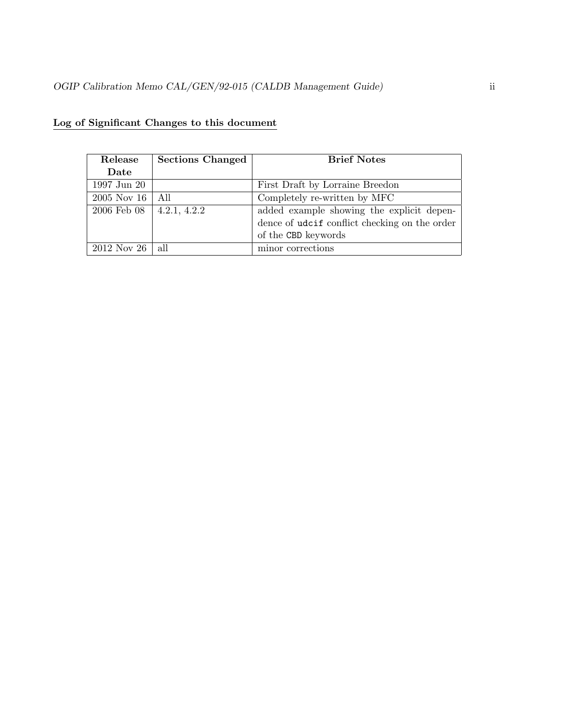| Release     | <b>Sections Changed</b> | <b>Brief Notes</b>                            |
|-------------|-------------------------|-----------------------------------------------|
| Date        |                         |                                               |
| 1997 Jun 20 |                         | First Draft by Lorraine Breedon               |
| 2005 Nov 16 | All                     | Completely re-written by MFC                  |
| 2006 Feb 08 | 4.2.1, 4.2.2            | added example showing the explicit depen-     |
|             |                         | dence of udcif conflict checking on the order |
|             |                         | of the CBD keywords                           |
| 2012 Nov 26 | all                     | minor corrections                             |

# Log of Significant Changes to this document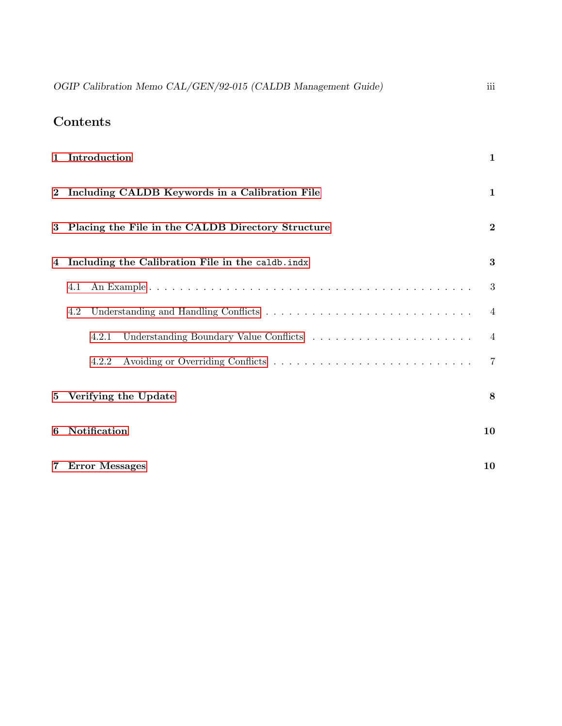| OGIP Calibration Memo CAL/GEN/92-015 (CALDB Management Guide) |  |  |
|---------------------------------------------------------------|--|--|
|---------------------------------------------------------------|--|--|

# Contents

|              | 1 Introduction<br>$\mathbf{1}$                                 |   |  |  |  |
|--------------|----------------------------------------------------------------|---|--|--|--|
| $\mathbf{2}$ | Including CALDB Keywords in a Calibration File<br>$\mathbf{1}$ |   |  |  |  |
| 3            | $\bf{2}$<br>Placing the File in the CALDB Directory Structure  |   |  |  |  |
| 4            | 3<br>Including the Calibration File in the caldb.indx          |   |  |  |  |
|              | 4.1                                                            | 3 |  |  |  |
|              | 4.2                                                            | 4 |  |  |  |
|              | 4.2.1                                                          | 4 |  |  |  |
|              | 4.2.2                                                          | 7 |  |  |  |
| $5^{\circ}$  | Verifying the Update<br>8                                      |   |  |  |  |
| 6            | Notification<br>10                                             |   |  |  |  |
|              | 7 Error Messages<br>10                                         |   |  |  |  |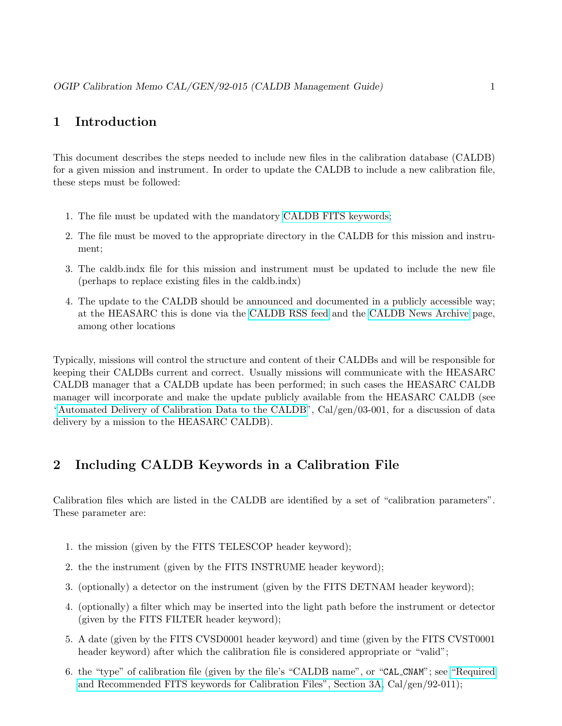## <span id="page-3-0"></span>1 Introduction

This document describes the steps needed to include new files in the calibration database (CALDB) for a given mission and instrument. In order to update the CALDB to include a new calibration file, these steps must be followed:

- 1. The file must be updated with the mandatory [CALDB FITS keywords;](http://heasarc.gsfc.nasa.gov/docs/heasarc/caldb/caldb_keywords.html)
- 2. The file must be moved to the appropriate directory in the CALDB for this mission and instrument;
- 3. The caldb.indx file for this mission and instrument must be updated to include the new file (perhaps to replace existing files in the caldb.indx)
- 4. The update to the CALDB should be announced and documented in a publicly accessible way; at the HEASARC this is done via the [CALDB RSS feed](http://heasarc.gsfc.nasa.gov/docs/heasarc/caldb/caldb.rss) and the [CALDB News Archive](http://heasarc.gsfc.nasa.gov/docs/heasarc/caldb/caldb_wotsnew.html) page, among other locations

Typically, missions will control the structure and content of their CALDBs and will be responsible for keeping their CALDBs current and correct. Usually missions will communicate with the HEASARC CALDB manager that a CALDB update has been performed; in such cases the HEASARC CALDB manager will incorporate and make the update publicly available from the HEASARC CALDB (see ["Automated Delivery of Calibration Data to the CALDB"](http://heasarc.gsfc.nasa.gov/docs/heasarc/caldb/docs/memos/cal_gen_2003_001/cal_gen_2003_001.html), Cal/gen/03-001, for a discussion of data delivery by a mission to the HEASARC CALDB).

## <span id="page-3-1"></span>2 Including CALDB Keywords in a Calibration File

Calibration files which are listed in the CALDB are identified by a set of "calibration parameters". These parameter are:

- 1. the mission (given by the FITS TELESCOP header keyword);
- 2. the the instrument (given by the FITS INSTRUME header keyword);
- 3. (optionally) a detector on the instrument (given by the FITS DETNAM header keyword);
- 4. (optionally) a filter which may be inserted into the light path before the instrument or detector (given by the FITS FILTER header keyword);
- 5. A date (given by the FITS CVSD0001 header keyword) and time (given by the FITS CVST0001 header keyword) after which the calibration file is considered appropriate or "valid";
- 6. the "type" of calibration file (given by the file's "CALDB name", or "CAL CNAM"; see ["Required](http://heasarc.gsfc.nasa.gov/docs/heasarc/caldb/docs/memos/cal_gen_92_011/cal_gen_92_011.html#tth_sEcA) [and Recommended FITS keywords for Calibration Files", Section 3A,](http://heasarc.gsfc.nasa.gov/docs/heasarc/caldb/docs/memos/cal_gen_92_011/cal_gen_92_011.html#tth_sEcA) Cal/gen/92-011);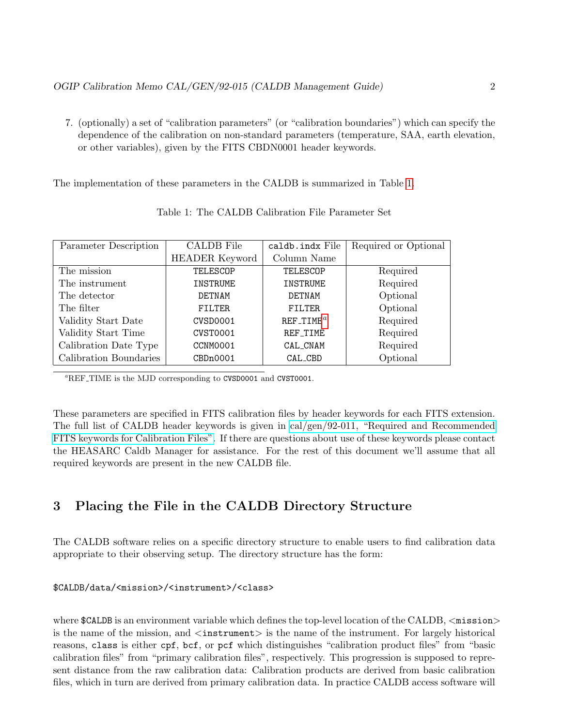7. (optionally) a set of "calibration parameters" (or "calibration boundaries") which can specify the dependence of the calibration on non-standard parameters (temperature, SAA, earth elevation, or other variables), given by the FITS CBDN0001 header keywords.

The implementation of these parameters in the CALDB is summarized in Table [1.](#page-4-1)

| <b>CALDB</b> File<br>Parameter Description |                       | caldb.indx File | Required or Optional |
|--------------------------------------------|-----------------------|-----------------|----------------------|
|                                            | <b>HEADER Keyword</b> | Column Name     |                      |
| The mission                                | TELESCOP              | TELESCOP        | Required             |
| The instrument                             | INSTRUME              | <b>INSTRUME</b> | Required             |
| The detector                               | <b>DETNAM</b>         | DETNAM          | Optional             |
| The filter                                 | <b>FILTER</b>         | <b>FILTER</b>   | Optional             |
| Validity Start Date                        | CVSD0001              | $REF\_TIME^a$   | Required             |
| Validity Start Time                        | <b>CVST0001</b>       | REF_TIME        | Required             |
| Calibration Date Type                      | CCNM0001              | CAL_CNAM        | Required             |
| Calibration Boundaries                     | CBDn0001              | CAL_CBD         | Optional             |

<span id="page-4-1"></span>Table 1: The CALDB Calibration File Parameter Set

<span id="page-4-2"></span><sup>a</sup>REF<sub>-TIME</sub> is the MJD corresponding to CVSD0001 and CVST0001.

These parameters are specified in FITS calibration files by header keywords for each FITS extension. The full list of CALDB header keywords is given in [cal/gen/92-011, "Required and Recommended](http://heasarc.gsfc.nasa.gov/docs/heasarc/caldb/docs/memos/cal_gen_92_011/cal_gen_92_011.html#tab:keywordsum) [FITS keywords for Calibration Files".](http://heasarc.gsfc.nasa.gov/docs/heasarc/caldb/docs/memos/cal_gen_92_011/cal_gen_92_011.html#tab:keywordsum) If there are questions about use of these keywords please contact the HEASARC Caldb Manager for assistance. For the rest of this document we'll assume that all required keywords are present in the new CALDB file.

# <span id="page-4-0"></span>3 Placing the File in the CALDB Directory Structure

The CALDB software relies on a specific directory structure to enable users to find calibration data appropriate to their observing setup. The directory structure has the form:

#### \$CALDB/data/<mission>/<instrument>/<class>

where  $$CALDB is an environment variable which defines the top-level location of the CALDB,  $\langle^{\text{mission}}\rangle$$ is the name of the mission, and  $\langle$  instrument $\rangle$  is the name of the instrument. For largely historical reasons, class is either cpf, bcf, or pcf which distinguishes "calibration product files" from "basic calibration files" from "primary calibration files", respectively. This progression is supposed to represent distance from the raw calibration data: Calibration products are derived from basic calibration files, which in turn are derived from primary calibration data. In practice CALDB access software will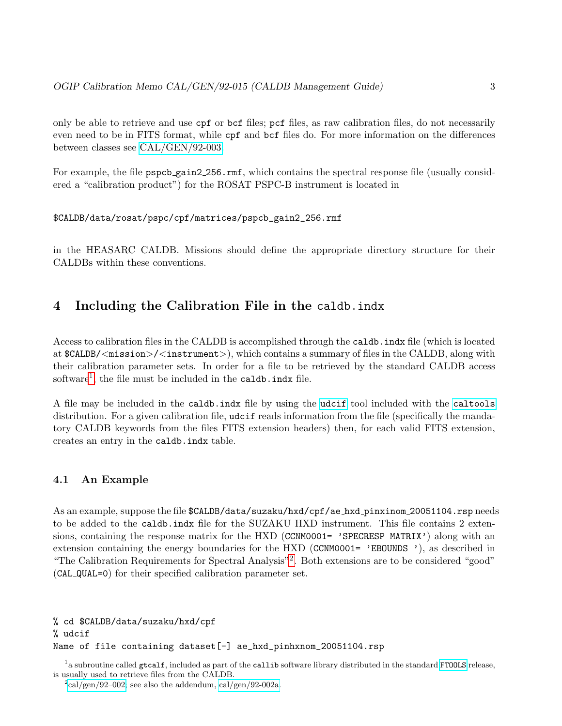only be able to retrieve and use cpf or bcf files; pcf files, as raw calibration files, do not necessarily even need to be in FITS format, while cpf and bcf files do. For more information on the differences between classes see [CAL/GEN/92-003.](http://heasarc.gsfc.nasa.gov/docs/heasarc/caldb/docs/memos/cal_gen_92_003/cal_gen_92_003.html)

For example, the file pspcb\_gain2\_256.rmf, which contains the spectral response file (usually considered a "calibration product") for the ROSAT PSPC-B instrument is located in

#### \$CALDB/data/rosat/pspc/cpf/matrices/pspcb\_gain2\_256.rmf

in the HEASARC CALDB. Missions should define the appropriate directory structure for their CALDBs within these conventions.

## <span id="page-5-0"></span>4 Including the Calibration File in the caldb.indx

Access to calibration files in the CALDB is accomplished through the caldb.indx file (which is located at  $CALDB \times mission$  /  $\langle$  instrument  $\rangle$ ), which contains a summary of files in the CALDB, along with their calibration parameter sets. In order for a file to be retrieved by the standard CALDB access  $\text{softmax}^1$  $\text{softmax}^1$ , the file must be included in the caldb.indx file.

A file may be included in the caldb.indx file by using the [udcif](http://heasarc.gsfc.nasa.gov/lheasoft/ftools/caldb/udcif.html) tool included with the [caltools](http://heasarc.gsfc.nasa.gov/lheasoft/ftools/caldb/caltools.html) distribution. For a given calibration file, **udcif** reads information from the file (specifically the mandatory CALDB keywords from the files FITS extension headers) then, for each valid FITS extension, creates an entry in the caldb.indx table.

#### <span id="page-5-1"></span>4.1 An Example

As an example, suppose the file \$CALDB/data/suzaku/hxd/cpf/ae hxd pinxinom 20051104.rsp needs to be added to the caldb.indx file for the SUZAKU HXD instrument. This file contains 2 extensions, containing the response matrix for the HXD (CCNM0001= 'SPECRESP MATRIX') along with an extension containing the energy boundaries for the HXD (CCNM0001= 'EBOUNDS'), as described in "The Calibration Requirements for Spectral Analysis"<sup>[2](#page-5-3)</sup>. Both extensions are to be considered "good" (CAL QUAL=0) for their specified calibration parameter set.

% cd \$CALDB/data/suzaku/hxd/cpf % udcif Name of file containing dataset[-] ae\_hxd\_pinhxnom\_20051104.rsp

<span id="page-5-2"></span> $^1$ a subroutine called gtcalf, included as part of the callib software library distributed in the standard FT00LS release, is usually used to retrieve files from the CALDB.

<span id="page-5-3"></span> $^{2}$ [cal/gen/92–002;](http://heasarc.gsfc.nasa.gov/docs/heasarc/caldb/docs/memos/cal_gen_92_002/cal_gen_92_002.html) see also the addendum, [cal/gen/92-002a.](http://heasarc.gsfc.nasa.gov/docs/heasarc/caldb/docs/memos/cal_gen_92_002a/cal_gen_92_002a.html)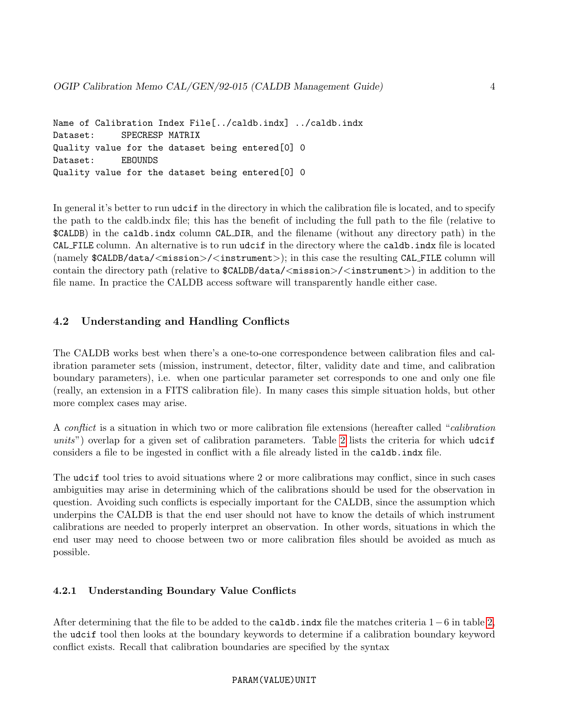```
Name of Calibration Index File[../caldb.indx] ../caldb.indx
Dataset: SPECRESP MATRIX
Quality value for the dataset being entered[0] 0
Dataset: EBOUNDS
Quality value for the dataset being entered[0] 0
```
In general it's better to run udcif in the directory in which the calibration file is located, and to specify the path to the caldb.indx file; this has the benefit of including the full path to the file (relative to \$CALDB) in the caldb.indx column CAL DIR, and the filename (without any directory path) in the CAL FILE column. An alternative is to run udcif in the directory where the caldb.indx file is located (namely  $\texttt{CALDB}/data/)/); in this case the resulting CAL FILE column will$ contain the directory path (relative to  $$CALDB/data/) in addition to the$ file name. In practice the CALDB access software will transparently handle either case.

### <span id="page-6-0"></span>4.2 Understanding and Handling Conflicts

The CALDB works best when there's a one-to-one correspondence between calibration files and calibration parameter sets (mission, instrument, detector, filter, validity date and time, and calibration boundary parameters), i.e. when one particular parameter set corresponds to one and only one file (really, an extension in a FITS calibration file). In many cases this simple situation holds, but other more complex cases may arise.

A conflict is a situation in which two or more calibration file extensions (hereafter called "calibration units") overlap for a given set of calibration parameters. Table [2](#page-7-0) lists the criteria for which udcif considers a file to be ingested in conflict with a file already listed in the caldb.indx file.

The udcif tool tries to avoid situations where 2 or more calibrations may conflict, since in such cases ambiguities may arise in determining which of the calibrations should be used for the observation in question. Avoiding such conflicts is especially important for the CALDB, since the assumption which underpins the CALDB is that the end user should not have to know the details of which instrument calibrations are needed to properly interpret an observation. In other words, situations in which the end user may need to choose between two or more calibration files should be avoided as much as possible.

#### <span id="page-6-1"></span>4.2.1 Understanding Boundary Value Conflicts

After determining that the file to be added to the caldb.indx file the matches criteria 1−6 in table [2,](#page-7-0) the udcif tool then looks at the boundary keywords to determine if a calibration boundary keyword conflict exists. Recall that calibration boundaries are specified by the syntax

#### PARAM(VALUE)UNIT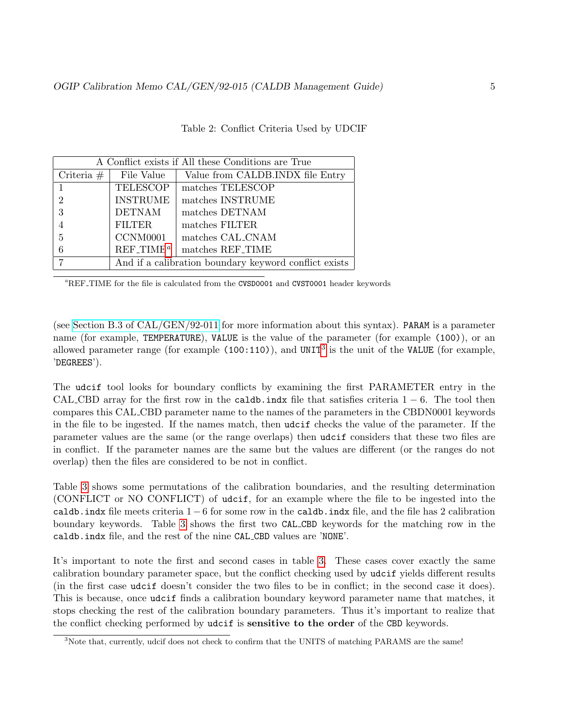| A Conflict exists if All these Conditions are True |                 |                                                       |  |  |
|----------------------------------------------------|-----------------|-------------------------------------------------------|--|--|
| Criteria #                                         | File Value      | Value from CALDB. INDX file Entry                     |  |  |
| 1                                                  | <b>TELESCOP</b> | matches TELESCOP                                      |  |  |
| $\frac{2}{3}$                                      | <b>INSTRUME</b> | matches INSTRUME                                      |  |  |
|                                                    | <b>DETNAM</b>   | matches DETNAM                                        |  |  |
| $\overline{4}$                                     | FILTER          | matches FILTER                                        |  |  |
| $\overline{5}$                                     | CCNM0001        | matches CAL_CNAM                                      |  |  |
| $\overline{6}$                                     | $REF\_TIME^a$   | matches REF_TIME                                      |  |  |
| $\overline{7}$                                     |                 | And if a calibration boundary keyword conflict exists |  |  |

<span id="page-7-0"></span>Table 2: Conflict Criteria Used by UDCIF

<span id="page-7-1"></span><sup>a</sup>REF<sub>-TIME</sub> for the file is calculated from the CVSD0001 and CVST0001 header keywords

(see [Section B.3 of CAL/GEN/92-011](http://heasarc.gsfc.nasa.gov/docs/heasarc/caldb/docs/memos/cal_gen_92_011/cal_gen_92_011.html#Sec:CBD) for more information about this syntax). PARAM is a parameter name (for example, TEMPERATURE), VALUE is the value of the parameter (for example (100)), or an allowed parameter range (for example  $(100:110)$ ), and UNIT<sup>[3](#page-7-2)</sup> is the unit of the VALUE (for example, 'DEGREES').

The udcif tool looks for boundary conflicts by examining the first PARAMETER entry in the CAL CBD array for the first row in the caldb.indx file that satisfies criteria  $1 - 6$ . The tool then compares this CAL CBD parameter name to the names of the parameters in the CBDN0001 keywords in the file to be ingested. If the names match, then udcif checks the value of the parameter. If the parameter values are the same (or the range overlaps) then udcif considers that these two files are in conflict. If the parameter names are the same but the values are different (or the ranges do not overlap) then the files are considered to be not in conflict.

Table [3](#page-8-0) shows some permutations of the calibration boundaries, and the resulting determination (CONFLICT or NO CONFLICT) of udcif, for an example where the file to be ingested into the caldb.indx file meets criteria  $1 - 6$  for some row in the caldb.indx file, and the file has 2 calibration boundary keywords. Table [3](#page-8-0) shows the first two CAL CBD keywords for the matching row in the caldb.indx file, and the rest of the nine CAL CBD values are 'NONE'.

It's important to note the first and second cases in table [3.](#page-8-0) These cases cover exactly the same calibration boundary parameter space, but the conflict checking used by udcif yields different results (in the first case udcif doesn't consider the two files to be in conflict; in the second case it does). This is because, once udcif finds a calibration boundary keyword parameter name that matches, it stops checking the rest of the calibration boundary parameters. Thus it's important to realize that the conflict checking performed by udcif is sensitive to the order of the CBD keywords.

<span id="page-7-2"></span><sup>&</sup>lt;sup>3</sup>Note that, currently, udcif does not check to confirm that the UNITS of matching PARAMS are the same!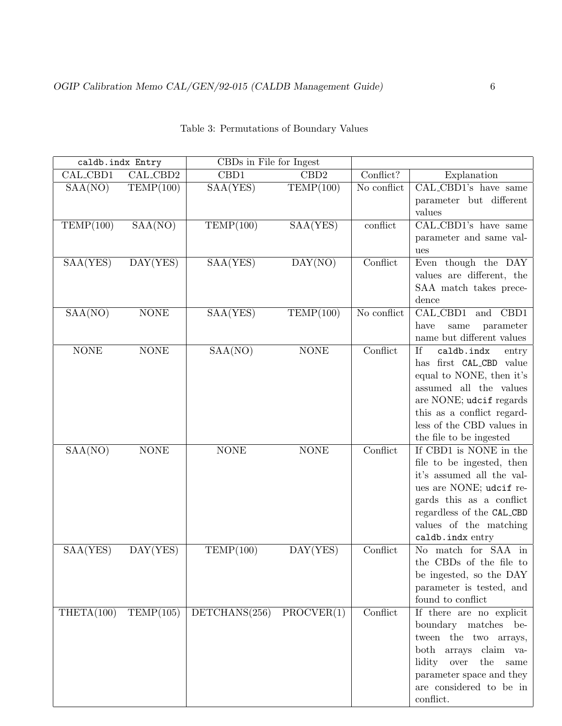| caldb.indx Entry |                              | CBDs in File for Ingest |                                    |             |                                                           |
|------------------|------------------------------|-------------------------|------------------------------------|-------------|-----------------------------------------------------------|
| CAL_CBD1         | CAL_CBD2                     | CB <sub>D1</sub>        | $\text{CBD2}$                      | Conflict?   | Explanation                                               |
| SAA(NO)          | TEMP(100)                    | SAA(YES)                | TEMP(100)                          | No conflict | CAL_CBD1's have same                                      |
|                  |                              |                         |                                    |             | parameter but different<br>values                         |
| TEMP(100)        | SAA(NO)                      | TEMP(100)               | SAA(YES)                           | conflict    | CAL_CBD1's have same                                      |
|                  |                              |                         |                                    |             | parameter and same val-                                   |
|                  |                              |                         |                                    |             | ues                                                       |
| SAA(YES)         | $\overline{\text{DAY(YES)}}$ | SAA(YES)                | $\overline{\text{DAY}(\text{NO})}$ | Conflict    | Even though the DAY                                       |
|                  |                              |                         |                                    |             | values are different, the                                 |
|                  |                              |                         |                                    |             | SAA match takes prece-<br>dence                           |
| SAA(NO)          | <b>NONE</b>                  | SAA(YES)                | TEMP(100)                          | No conflict | CAL_CBD1<br>and CBD1                                      |
|                  |                              |                         |                                    |             | parameter<br>have<br>same                                 |
|                  |                              |                         |                                    |             | name but different values                                 |
| <b>NONE</b>      | <b>NONE</b>                  | SAA(NO)                 | <b>NONE</b>                        | Conflict    | If<br>caldb.indx<br>entry                                 |
|                  |                              |                         |                                    |             | has first CAL_CBD value                                   |
|                  |                              |                         |                                    |             | equal to NONE, then it's                                  |
|                  |                              |                         |                                    |             | assumed all the values                                    |
|                  |                              |                         |                                    |             | are NONE; udcif regards                                   |
|                  |                              |                         |                                    |             | this as a conflict regard-                                |
|                  |                              |                         |                                    |             | less of the CBD values in                                 |
|                  |                              |                         |                                    |             | the file to be ingested                                   |
| SAA(NO)          | <b>NONE</b>                  | $\rm{NONE}$             | <b>NONE</b>                        | Conflict    | If CBD1 is NONE in the                                    |
|                  |                              |                         |                                    |             | file to be ingested, then                                 |
|                  |                              |                         |                                    |             | it's assumed all the val-<br>ues are NONE; udcif re-      |
|                  |                              |                         |                                    |             | gards this as a conflict                                  |
|                  |                              |                         |                                    |             | regardless of the CAL_CBD                                 |
|                  |                              |                         |                                    |             | values of the matching                                    |
|                  |                              |                         |                                    |             | caldb.indx entry                                          |
| SAA(YES)         | DAY(YES)                     | TEMP(100)               | DAY(YES)                           | Conflict    | No match for SAA in                                       |
|                  |                              |                         |                                    |             | the CBDs of the file to                                   |
|                  |                              |                         |                                    |             | be ingested, so the DAY                                   |
|                  |                              |                         |                                    |             | parameter is tested, and                                  |
|                  |                              |                         |                                    |             | found to conflict                                         |
| THETA(100)       | TEMP(105)                    | DETCHANS(256)           | PROCVER(1)                         | Conflict    | If there are no explicit                                  |
|                  |                              |                         |                                    |             | boundary matches<br>be-                                   |
|                  |                              |                         |                                    |             | tween the two arrays,                                     |
|                  |                              |                         |                                    |             | both arrays claim va-                                     |
|                  |                              |                         |                                    |             | lidity<br>over<br>the<br>same<br>parameter space and they |
|                  |                              |                         |                                    |             | are considered to be in                                   |
|                  |                              |                         |                                    |             | conflict.                                                 |

<span id="page-8-0"></span>

| Table 3: Permutations of Boundary Values |  |  |
|------------------------------------------|--|--|
|------------------------------------------|--|--|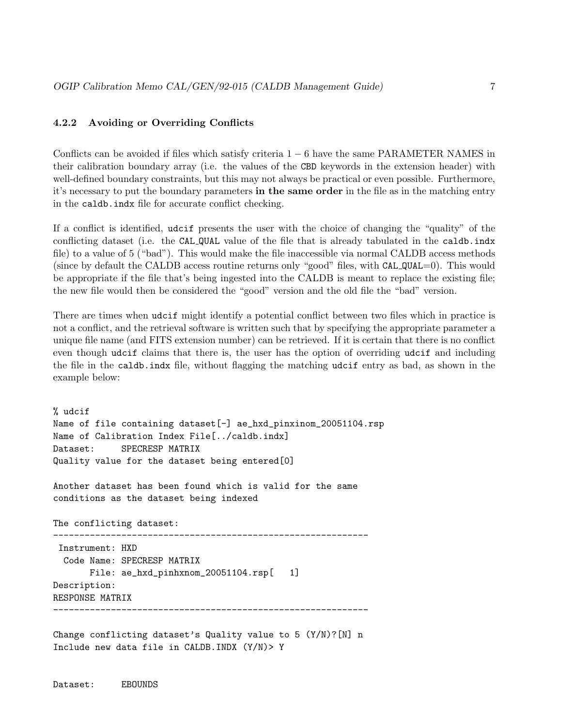#### <span id="page-9-0"></span>4.2.2 Avoiding or Overriding Conflicts

Conflicts can be avoided if files which satisfy criteria  $1 - 6$  have the same PARAMETER NAMES in their calibration boundary array (i.e. the values of the CBD keywords in the extension header) with well-defined boundary constraints, but this may not always be practical or even possible. Furthermore, it's necessary to put the boundary parameters in the same order in the file as in the matching entry in the caldb.indx file for accurate conflict checking.

If a conflict is identified, udcif presents the user with the choice of changing the "quality" of the conflicting dataset (i.e. the CAL QUAL value of the file that is already tabulated in the caldb.indx file) to a value of 5 ("bad"). This would make the file inaccessible via normal CALDB access methods (since by default the CALDB access routine returns only "good" files, with CAL QUAL=0). This would be appropriate if the file that's being ingested into the CALDB is meant to replace the existing file; the new file would then be considered the "good" version and the old file the "bad" version.

There are times when udcif might identify a potential conflict between two files which in practice is not a conflict, and the retrieval software is written such that by specifying the appropriate parameter a unique file name (and FITS extension number) can be retrieved. If it is certain that there is no conflict even though udcif claims that there is, the user has the option of overriding udcif and including the file in the caldb.indx file, without flagging the matching udcif entry as bad, as shown in the example below:

```
% udcif
Name of file containing dataset[-] ae_hxd_pinxinom_20051104.rsp
Name of Calibration Index File[../caldb.indx]
Dataset: SPECRESP MATRIX
Quality value for the dataset being entered[0]
Another dataset has been found which is valid for the same
conditions as the dataset being indexed
The conflicting dataset:
------------------------------------------------------------
 Instrument: HXD
  Code Name: SPECRESP MATRIX
      File: ae_hxd_pinhxnom_20051104.rsp[ 1]
Description:
RESPONSE MATRIX
------------------------------------------------------------
```
Change conflicting dataset's Quality value to 5 (Y/N)?[N] n Include new data file in CALDB.INDX (Y/N)> Y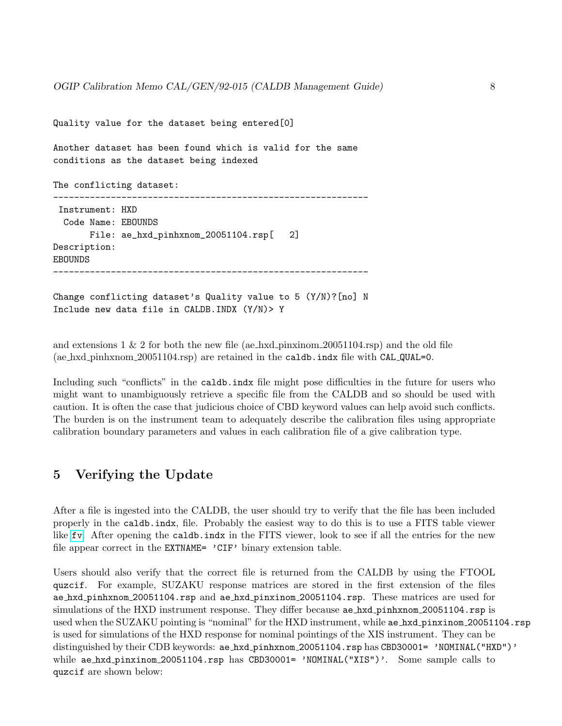```
Quality value for the dataset being entered[0]
Another dataset has been found which is valid for the same
conditions as the dataset being indexed
The conflicting dataset:
                          ------------------------------------------------------------
 Instrument: HXD
  Code Name: EBOUNDS
       File: ae_hxd_pinhxnom_20051104.rsp[ 2]
Description:
EBOUNDS
------------------------------------------------------------
```
Change conflicting dataset's Quality value to 5 (Y/N)?[no] N Include new data file in CALDB.INDX (Y/N)> Y

and extensions 1  $\&$  2 for both the new file (ae hxd pinxinom 20051104.rsp) and the old file (ae hxd pinhxnom 20051104.rsp) are retained in the caldb.indx file with CAL QUAL=0.

Including such "conflicts" in the caldb.indx file might pose difficulties in the future for users who might want to unambiguously retrieve a specific file from the CALDB and so should be used with caution. It is often the case that judicious choice of CBD keyword values can help avoid such conflicts. The burden is on the instrument team to adequately describe the calibration files using appropriate calibration boundary parameters and values in each calibration file of a give calibration type.

## <span id="page-10-0"></span>5 Verifying the Update

After a file is ingested into the CALDB, the user should try to verify that the file has been included properly in the caldb.indx, file. Probably the easiest way to do this is to use a FITS table viewer like [fv](http://heasarc.gsfc.nasa.gov/docs/software/ftools/fv/). After opening the caldb.indx in the FITS viewer, look to see if all the entries for the new file appear correct in the EXTNAME= 'CIF' binary extension table.

Users should also verify that the correct file is returned from the CALDB by using the FTOOL quzcif. For example, SUZAKU response matrices are stored in the first extension of the files ae hxd pinhxnom 20051104.rsp and ae hxd pinxinom 20051104.rsp. These matrices are used for simulations of the HXD instrument response. They differ because ae hxd pinhxnom 20051104.rsp is used when the SUZAKU pointing is "nominal" for the HXD instrument, while ae hxd pinxinom 20051104.rsp is used for simulations of the HXD response for nominal pointings of the XIS instrument. They can be distinguished by their CDB keywords: ae hxd pinhxnom 20051104.rsp has CBD30001= 'NOMINAL("HXD")' while ae\_hxd\_pinxinom\_20051104.rsp has CBD30001= 'NOMINAL("XIS")'. Some sample calls to quzcif are shown below: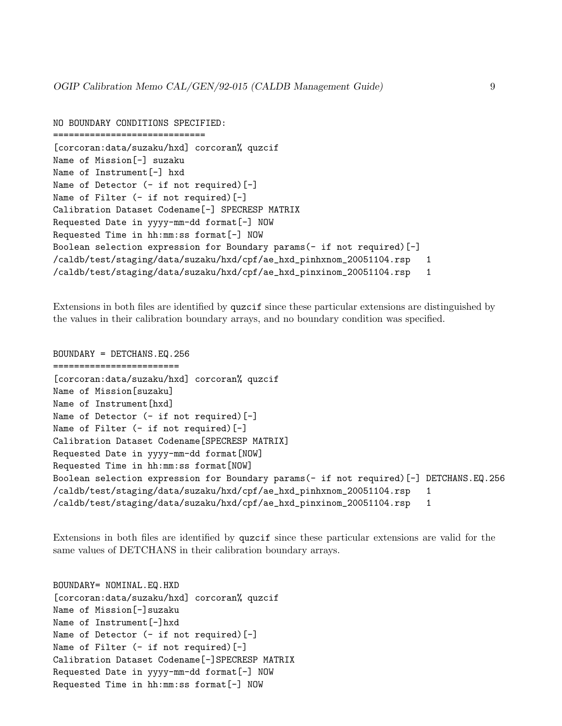```
NO BOUNDARY CONDITIONS SPECIFIED:
=============================
[corcoran:data/suzaku/hxd] corcoran% quzcif
Name of Mission[-] suzaku
Name of Instrument[-] hxd
Name of Detector (- if not required) [-]
Name of Filter (- if not required) [-]
Calibration Dataset Codename[-] SPECRESP MATRIX
Requested Date in yyyy-mm-dd format[-] NOW
Requested Time in hh:mm:ss format[-] NOW
Boolean selection expression for Boundary params(- if not required)[-]
/caldb/test/staging/data/suzaku/hxd/cpf/ae_hxd_pinhxnom_20051104.rsp 1
/caldb/test/staging/data/suzaku/hxd/cpf/ae_hxd_pinxinom_20051104.rsp 1
```
Extensions in both files are identified by quzcif since these particular extensions are distinguished by the values in their calibration boundary arrays, and no boundary condition was specified.

```
BOUNDARY = DETCHANS.EQ.256
========================
[corcoran:data/suzaku/hxd] corcoran% quzcif
Name of Mission[suzaku]
Name of Instrument[hxd]
Name of Detector (- if not required) [-]
Name of Filter (- if not required)[-]
Calibration Dataset Codename[SPECRESP MATRIX]
Requested Date in yyyy-mm-dd format[NOW]
Requested Time in hh:mm:ss format[NOW]
Boolean selection expression for Boundary params(- if not required)[-] DETCHANS.EQ.256
/caldb/test/staging/data/suzaku/hxd/cpf/ae_hxd_pinhxnom_20051104.rsp 1
/caldb/test/staging/data/suzaku/hxd/cpf/ae_hxd_pinxinom_20051104.rsp 1
```
Extensions in both files are identified by quzcif since these particular extensions are valid for the same values of DETCHANS in their calibration boundary arrays.

```
BOUNDARY= NOMINAL.EQ.HXD
[corcoran:data/suzaku/hxd] corcoran% quzcif
Name of Mission[-]suzaku
Name of Instrument<sup>[-]</sup>hxd
Name of Detector (- if not required) [-]
Name of Filter (- if not required) [-]
Calibration Dataset Codename[-]SPECRESP MATRIX
Requested Date in yyyy-mm-dd format[-] NOW
Requested Time in hh:mm:ss format[-] NOW
```